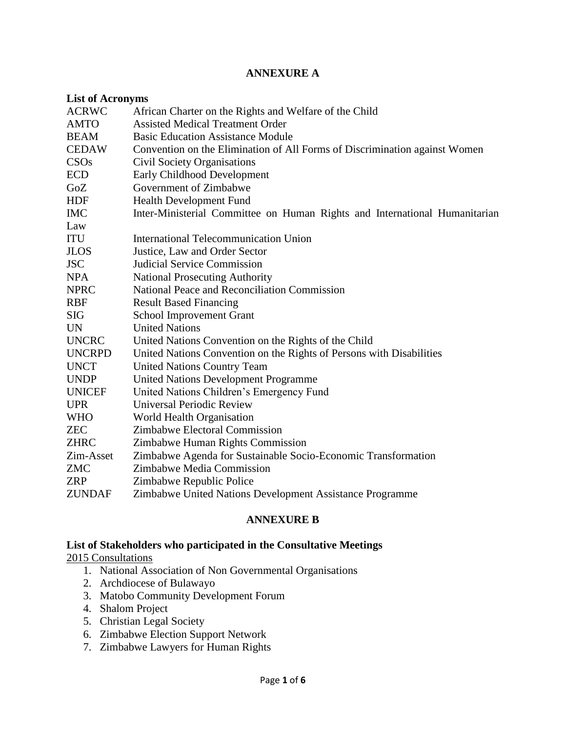## **ANNEXURE A**

| <b>List of Acronyms</b> |                                                                            |
|-------------------------|----------------------------------------------------------------------------|
| <b>ACRWC</b>            | African Charter on the Rights and Welfare of the Child                     |
| <b>AMTO</b>             | <b>Assisted Medical Treatment Order</b>                                    |
| <b>BEAM</b>             | <b>Basic Education Assistance Module</b>                                   |
| <b>CEDAW</b>            | Convention on the Elimination of All Forms of Discrimination against Women |
| CSOs                    | <b>Civil Society Organisations</b>                                         |
| <b>ECD</b>              | Early Childhood Development                                                |
| GoZ                     | Government of Zimbabwe                                                     |
| <b>HDF</b>              | Health Development Fund                                                    |
| <b>IMC</b>              | Inter-Ministerial Committee on Human Rights and International Humanitarian |
| Law                     |                                                                            |
| <b>ITU</b>              | <b>International Telecommunication Union</b>                               |
| <b>JLOS</b>             | Justice, Law and Order Sector                                              |
| <b>JSC</b>              | <b>Judicial Service Commission</b>                                         |
| <b>NPA</b>              | <b>National Prosecuting Authority</b>                                      |
| <b>NPRC</b>             | National Peace and Reconciliation Commission                               |
| <b>RBF</b>              | <b>Result Based Financing</b>                                              |
| <b>SIG</b>              | <b>School Improvement Grant</b>                                            |
| <b>UN</b>               | <b>United Nations</b>                                                      |
| <b>UNCRC</b>            | United Nations Convention on the Rights of the Child                       |
| <b>UNCRPD</b>           | United Nations Convention on the Rights of Persons with Disabilities       |
| <b>UNCT</b>             | <b>United Nations Country Team</b>                                         |
| <b>UNDP</b>             | <b>United Nations Development Programme</b>                                |
| <b>UNICEF</b>           | United Nations Children's Emergency Fund                                   |
| <b>UPR</b>              | <b>Universal Periodic Review</b>                                           |
| <b>WHO</b>              | World Health Organisation                                                  |
| <b>ZEC</b>              | Zimbabwe Electoral Commission                                              |
| <b>ZHRC</b>             | Zimbabwe Human Rights Commission                                           |
| Zim-Asset               | Zimbabwe Agenda for Sustainable Socio-Economic Transformation              |
| <b>ZMC</b>              | Zimbabwe Media Commission                                                  |
| <b>ZRP</b>              | Zimbabwe Republic Police                                                   |
| <b>ZUNDAF</b>           | Zimbabwe United Nations Development Assistance Programme                   |

### **ANNEXURE B**

# **List of Stakeholders who participated in the Consultative Meetings**

2015 Consultations

- 1. National Association of Non Governmental Organisations
- 2. Archdiocese of Bulawayo
- 3. Matobo Community Development Forum
- 4. Shalom Project
- 5. Christian Legal Society
- 6. Zimbabwe Election Support Network
- 7. Zimbabwe Lawyers for Human Rights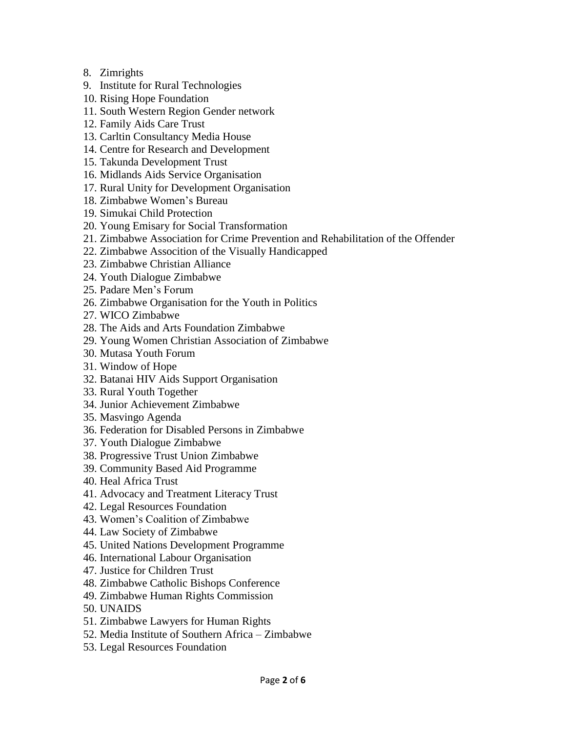- 8. Zimrights
- 9. Institute for Rural Technologies
- 10. Rising Hope Foundation
- 11. South Western Region Gender network
- 12. Family Aids Care Trust
- 13. Carltin Consultancy Media House
- 14. Centre for Research and Development
- 15. Takunda Development Trust
- 16. Midlands Aids Service Organisation
- 17. Rural Unity for Development Organisation
- 18. Zimbabwe Women's Bureau
- 19. Simukai Child Protection
- 20. Young Emisary for Social Transformation
- 21. Zimbabwe Association for Crime Prevention and Rehabilitation of the Offender
- 22. Zimbabwe Assocition of the Visually Handicapped
- 23. Zimbabwe Christian Alliance
- 24. Youth Dialogue Zimbabwe
- 25. Padare Men's Forum
- 26. Zimbabwe Organisation for the Youth in Politics
- 27. WICO Zimbabwe
- 28. The Aids and Arts Foundation Zimbabwe
- 29. Young Women Christian Association of Zimbabwe
- 30. Mutasa Youth Forum
- 31. Window of Hope
- 32. Batanai HIV Aids Support Organisation
- 33. Rural Youth Together
- 34. Junior Achievement Zimbabwe
- 35. Masvingo Agenda
- 36. Federation for Disabled Persons in Zimbabwe
- 37. Youth Dialogue Zimbabwe
- 38. Progressive Trust Union Zimbabwe
- 39. Community Based Aid Programme
- 40. Heal Africa Trust
- 41. Advocacy and Treatment Literacy Trust
- 42. Legal Resources Foundation
- 43. Women's Coalition of Zimbabwe
- 44. Law Society of Zimbabwe
- 45. United Nations Development Programme
- 46. International Labour Organisation
- 47. Justice for Children Trust
- 48. Zimbabwe Catholic Bishops Conference
- 49. Zimbabwe Human Rights Commission
- 50. UNAIDS
- 51. Zimbabwe Lawyers for Human Rights
- 52. Media Institute of Southern Africa Zimbabwe
- 53. Legal Resources Foundation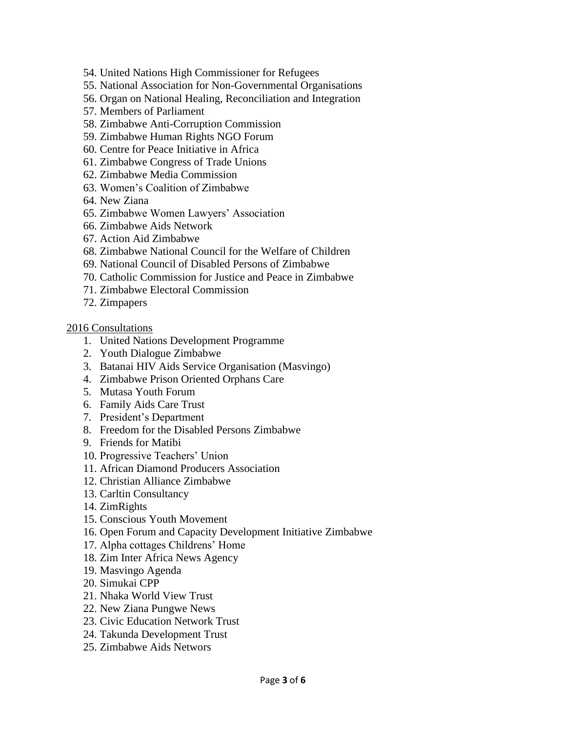- 54. United Nations High Commissioner for Refugees
- 55. National Association for Non-Governmental Organisations
- 56. Organ on National Healing, Reconciliation and Integration
- 57. Members of Parliament
- 58. Zimbabwe Anti-Corruption Commission
- 59. Zimbabwe Human Rights NGO Forum
- 60. Centre for Peace Initiative in Africa
- 61. Zimbabwe Congress of Trade Unions
- 62. Zimbabwe Media Commission
- 63. Women's Coalition of Zimbabwe
- 64. New Ziana
- 65. Zimbabwe Women Lawyers' Association
- 66. Zimbabwe Aids Network
- 67. Action Aid Zimbabwe
- 68. Zimbabwe National Council for the Welfare of Children
- 69. National Council of Disabled Persons of Zimbabwe
- 70. Catholic Commission for Justice and Peace in Zimbabwe
- 71. Zimbabwe Electoral Commission
- 72. Zimpapers

#### 2016 Consultations

- 1. United Nations Development Programme
- 2. Youth Dialogue Zimbabwe
- 3. Batanai HIV Aids Service Organisation (Masvingo)
- 4. Zimbabwe Prison Oriented Orphans Care
- 5. Mutasa Youth Forum
- 6. Family Aids Care Trust
- 7. President's Department
- 8. Freedom for the Disabled Persons Zimbabwe
- 9. Friends for Matibi
- 10. Progressive Teachers' Union
- 11. African Diamond Producers Association
- 12. Christian Alliance Zimbabwe
- 13. Carltin Consultancy
- 14. ZimRights
- 15. Conscious Youth Movement
- 16. Open Forum and Capacity Development Initiative Zimbabwe
- 17. Alpha cottages Childrens' Home
- 18. Zim Inter Africa News Agency
- 19. Masvingo Agenda
- 20. Simukai CPP
- 21. Nhaka World View Trust
- 22. New Ziana Pungwe News
- 23. Civic Education Network Trust
- 24. Takunda Development Trust
- 25. Zimbabwe Aids Networs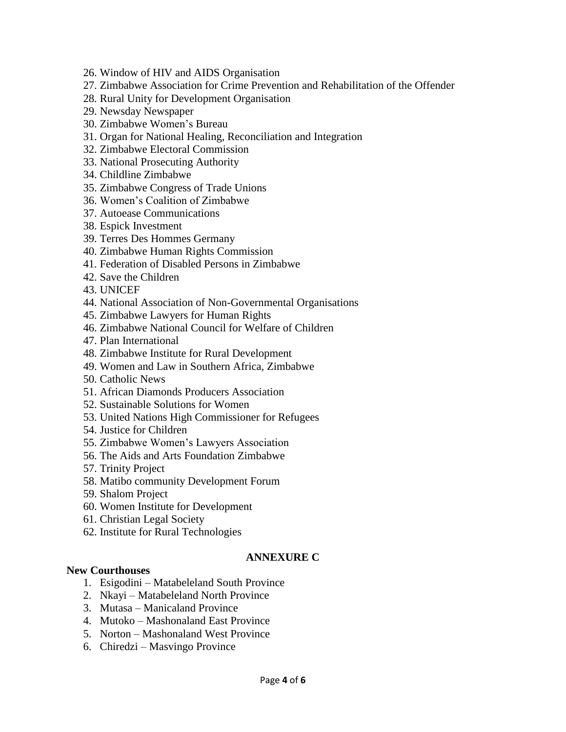- 26. Window of HIV and AIDS Organisation
- 27. Zimbabwe Association for Crime Prevention and Rehabilitation of the Offender
- 28. Rural Unity for Development Organisation
- 29. Newsday Newspaper
- 30. Zimbabwe Women's Bureau
- 31. Organ for National Healing, Reconciliation and Integration
- 32. Zimbabwe Electoral Commission
- 33. National Prosecuting Authority
- 34. Childline Zimbabwe
- 35. Zimbabwe Congress of Trade Unions
- 36. Women's Coalition of Zimbabwe
- 37. Autoease Communications
- 38. Espick Investment
- 39. Terres Des Hommes Germany
- 40. Zimbabwe Human Rights Commission
- 41. Federation of Disabled Persons in Zimbabwe
- 42. Save the Children
- 43. UNICEF
- 44. National Association of Non-Governmental Organisations
- 45. Zimbabwe Lawyers for Human Rights
- 46. Zimbabwe National Council for Welfare of Children
- 47. Plan International
- 48. Zimbabwe Institute for Rural Development
- 49. Women and Law in Southern Africa, Zimbabwe
- 50. Catholic News
- 51. African Diamonds Producers Association
- 52. Sustainable Solutions for Women
- 53. United Nations High Commissioner for Refugees
- 54. Justice for Children
- 55. Zimbabwe Women's Lawyers Association
- 56. The Aids and Arts Foundation Zimbabwe
- 57. Trinity Project
- 58. Matibo community Development Forum
- 59. Shalom Project
- 60. Women Institute for Development
- 61. Christian Legal Society
- 62. Institute for Rural Technologies

#### **ANNEXURE C**

### **New Courthouses**

- 1. Esigodini Matabeleland South Province
- 2. Nkayi Matabeleland North Province
- 3. Mutasa Manicaland Province
- 4. Mutoko Mashonaland East Province
- 5. Norton Mashonaland West Province
- 6. Chiredzi Masvingo Province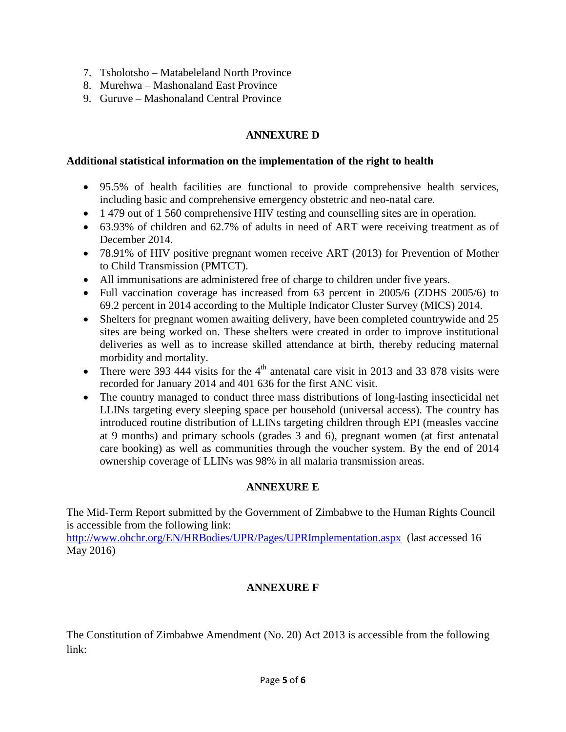- 7. Tsholotsho Matabeleland North Province
- 8. Murehwa Mashonaland East Province
- 9. Guruve Mashonaland Central Province

## **ANNEXURE D**

#### **Additional statistical information on the implementation of the right to health**

- 95.5% of health facilities are functional to provide comprehensive health services, including basic and comprehensive emergency obstetric and neo-natal care.
- 1 479 out of 1 560 comprehensive HIV testing and counselling sites are in operation.
- 63.93% of children and 62.7% of adults in need of ART were receiving treatment as of December 2014.
- 78.91% of HIV positive pregnant women receive ART (2013) for Prevention of Mother to Child Transmission (PMTCT).
- All immunisations are administered free of charge to children under five years.
- Full vaccination coverage has increased from 63 percent in 2005/6 (ZDHS 2005/6) to 69.2 percent in 2014 according to the Multiple Indicator Cluster Survey (MICS) 2014.
- Shelters for pregnant women awaiting delivery, have been completed countrywide and 25 sites are being worked on. These shelters were created in order to improve institutional deliveries as well as to increase skilled attendance at birth, thereby reducing maternal morbidity and mortality.
- There were 393 444 visits for the  $4<sup>th</sup>$  antenatal care visit in 2013 and 33 878 visits were recorded for January 2014 and 401 636 for the first ANC visit.
- The country managed to conduct three mass distributions of long-lasting insecticidal net LLINs targeting every sleeping space per household (universal access). The country has introduced routine distribution of LLINs targeting children through EPI (measles vaccine at 9 months) and primary schools (grades 3 and 6), pregnant women (at first antenatal care booking) as well as communities through the voucher system. By the end of 2014 ownership coverage of LLINs was 98% in all malaria transmission areas.

# **ANNEXURE E**

The Mid-Term Report submitted by the Government of Zimbabwe to the Human Rights Council is accessible from the following link:

<http://www.ohchr.org/EN/HRBodies/UPR/Pages/UPRImplementation.aspx>(last accessed 16 May 2016)

# **ANNEXURE F**

The Constitution of Zimbabwe Amendment (No. 20) Act 2013 is accessible from the following link: